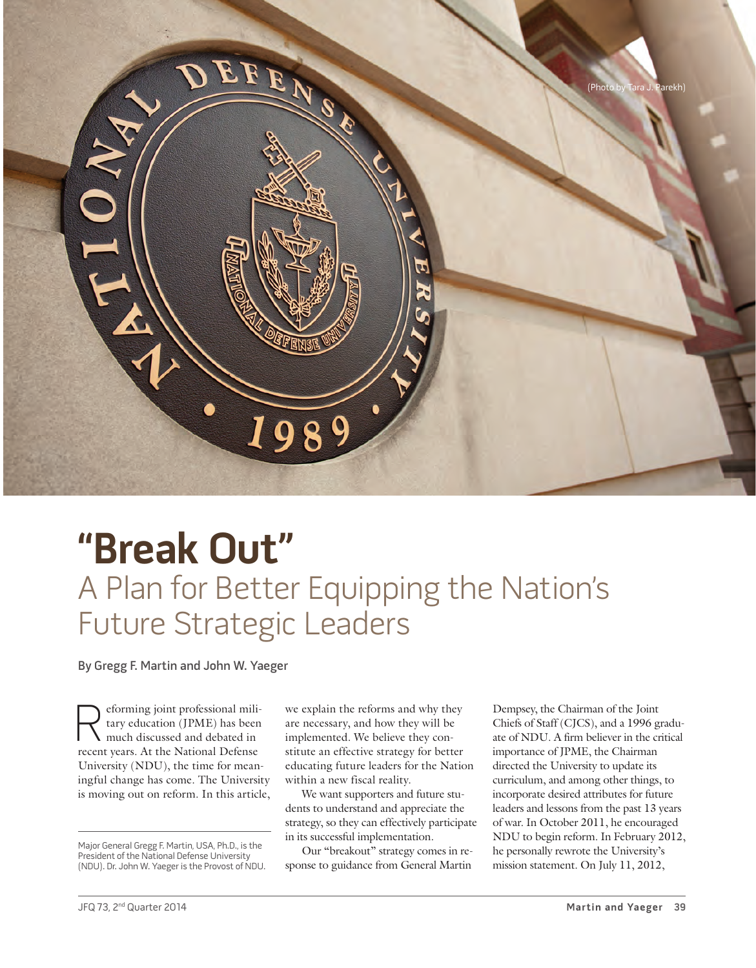

# **"Break Out"** A Plan for Better Equipping the Nation's Future Strategic Leaders

By Gregg F. Martin and John W. Yaeger

Reforming joint professional mili-<br>tary education (JPME) has been<br>much discussed and debated in<br>recent years. At the National Defense tary education (JPME) has been much discussed and debated in recent years. At the National Defense University (NDU), the time for meaningful change has come. The University is moving out on reform. In this article,

we explain the reforms and why they are necessary, and how they will be implemented. We believe they constitute an effective strategy for better educating future leaders for the Nation within a new fiscal reality.

We want supporters and future students to understand and appreciate the strategy, so they can effectively participate in its successful implementation.

Our "breakout" strategy comes in response to guidance from General Martin

Dempsey, the Chairman of the Joint Chiefs of Staff (CJCS), and a 1996 graduate of NDU. A firm believer in the critical importance of JPME, the Chairman directed the University to update its curriculum, and among other things, to incorporate desired attributes for future leaders and lessons from the past 13 years of war. In October 2011, he encouraged NDU to begin reform. In February 2012, he personally rewrote the University's mission statement. On July 11, 2012,

Major General Gregg F. Martin, USA, Ph.D., is the President of the National Defense University (NDU). Dr. John W. Yaeger is the Provost of NDU.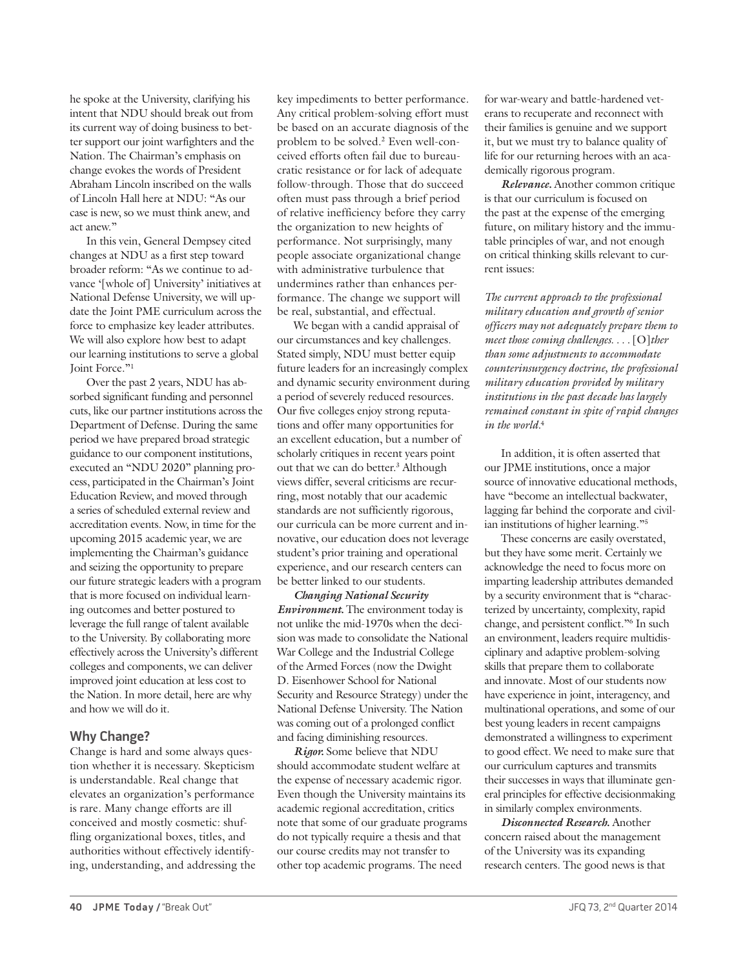he spoke at the University, clarifying his intent that NDU should break out from its current way of doing business to better support our joint warfighters and the Nation. The Chairman's emphasis on change evokes the words of President Abraham Lincoln inscribed on the walls of Lincoln Hall here at NDU: "As our case is new, so we must think anew, and act anew."

In this vein, General Dempsey cited changes at NDU as a first step toward broader reform: "As we continue to advance '[whole of] University' initiatives at National Defense University, we will update the Joint PME curriculum across the force to emphasize key leader attributes. We will also explore how best to adapt our learning institutions to serve a global Joint Force."1

Over the past 2 years, NDU has absorbed significant funding and personnel cuts, like our partner institutions across the Department of Defense. During the same period we have prepared broad strategic guidance to our component institutions, executed an "NDU 2020" planning process, participated in the Chairman's Joint Education Review, and moved through a series of scheduled external review and accreditation events. Now, in time for the upcoming 2015 academic year, we are implementing the Chairman's guidance and seizing the opportunity to prepare our future strategic leaders with a program that is more focused on individual learning outcomes and better postured to leverage the full range of talent available to the University. By collaborating more effectively across the University's different colleges and components, we can deliver improved joint education at less cost to the Nation. In more detail, here are why and how we will do it.

## **Why Change?**

Change is hard and some always question whether it is necessary. Skepticism is understandable. Real change that elevates an organization's performance is rare. Many change efforts are ill conceived and mostly cosmetic: shuffling organizational boxes, titles, and authorities without effectively identifying, understanding, and addressing the key impediments to better performance. Any critical problem-solving effort must be based on an accurate diagnosis of the problem to be solved.2 Even well-conceived efforts often fail due to bureaucratic resistance or for lack of adequate follow-through. Those that do succeed often must pass through a brief period of relative inefficiency before they carry the organization to new heights of performance. Not surprisingly, many people associate organizational change with administrative turbulence that undermines rather than enhances performance. The change we support will be real, substantial, and effectual.

We began with a candid appraisal of our circumstances and key challenges. Stated simply, NDU must better equip future leaders for an increasingly complex and dynamic security environment during a period of severely reduced resources. Our five colleges enjoy strong reputations and offer many opportunities for an excellent education, but a number of scholarly critiques in recent years point out that we can do better.<sup>3</sup> Although views differ, several criticisms are recurring, most notably that our academic standards are not sufficiently rigorous, our curricula can be more current and innovative, our education does not leverage student's prior training and operational experience, and our research centers can be better linked to our students.

*Changing National Security Environment.* The environment today is not unlike the mid-1970s when the decision was made to consolidate the National War College and the Industrial College of the Armed Forces (now the Dwight D. Eisenhower School for National Security and Resource Strategy) under the National Defense University. The Nation was coming out of a prolonged conflict and facing diminishing resources.

*Rigor.* Some believe that NDU should accommodate student welfare at the expense of necessary academic rigor. Even though the University maintains its academic regional accreditation, critics note that some of our graduate programs do not typically require a thesis and that our course credits may not transfer to other top academic programs. The need

for war-weary and battle-hardened veterans to recuperate and reconnect with their families is genuine and we support it, but we must try to balance quality of life for our returning heroes with an academically rigorous program.

*Relevance.* Another common critique is that our curriculum is focused on the past at the expense of the emerging future, on military history and the immutable principles of war, and not enough on critical thinking skills relevant to current issues:

*The current approach to the professional military education and growth of senior officers may not adequately prepare them to meet those coming challenges. . . .* [O]*ther than some adjustments to accommodate counterinsurgency doctrine, the professional military education provided by military institutions in the past decade has largely remained constant in spite of rapid changes in the world.*<sup>4</sup>

In addition, it is often asserted that our JPME institutions, once a major source of innovative educational methods, have "become an intellectual backwater, lagging far behind the corporate and civilian institutions of higher learning."5

These concerns are easily overstated, but they have some merit. Certainly we acknowledge the need to focus more on imparting leadership attributes demanded by a security environment that is "characterized by uncertainty, complexity, rapid change, and persistent conflict."6 In such an environment, leaders require multidisciplinary and adaptive problem-solving skills that prepare them to collaborate and innovate. Most of our students now have experience in joint, interagency, and multinational operations, and some of our best young leaders in recent campaigns demonstrated a willingness to experiment to good effect. We need to make sure that our curriculum captures and transmits their successes in ways that illuminate general principles for effective decisionmaking in similarly complex environments.

*Disconnected Research.* Another concern raised about the management of the University was its expanding research centers. The good news is that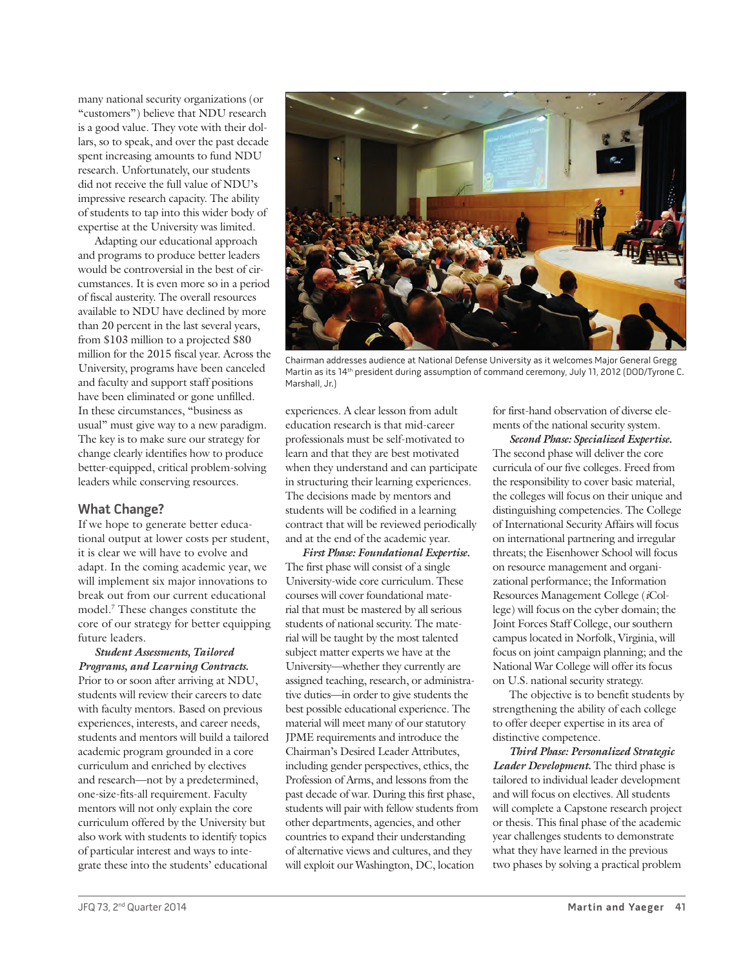many national security organizations (or "customers") believe that NDU research is a good value. They vote with their dollars, so to speak, and over the past decade spent increasing amounts to fund NDU research. Unfortunately, our students did not receive the full value of NDU's impressive research capacity. The ability of students to tap into this wider body of expertise at the University was limited.

Adapting our educational approach and programs to produce better leaders would be controversial in the best of circumstances. It is even more so in a period of fiscal austerity. The overall resources available to NDU have declined by more than 20 percent in the last several years, from \$103 million to a projected \$80 million for the 2015 fiscal year. Across the University, programs have been canceled and faculty and support staff positions have been eliminated or gone unfilled. In these circumstances, "business as usual" must give way to a new paradigm. The key is to make sure our strategy for change clearly identifies how to produce better-equipped, critical problem-solving leaders while conserving resources.

## **What Change?**

If we hope to generate better educational output at lower costs per student, it is clear we will have to evolve and adapt. In the coming academic year, we will implement six major innovations to break out from our current educational model.7 These changes constitute the core of our strategy for better equipping future leaders.

*Student Assessments, Tailored Programs, and Learning Contracts.*

Prior to or soon after arriving at NDU, students will review their careers to date with faculty mentors. Based on previous experiences, interests, and career needs, students and mentors will build a tailored academic program grounded in a core curriculum and enriched by electives and research—not by a predetermined, one-size-fits-all requirement. Faculty mentors will not only explain the core curriculum offered by the University but also work with students to identify topics of particular interest and ways to integrate these into the students' educational



Chairman addresses audience at National Defense University as it welcomes Major General Gregg Martin as its 14<sup>th</sup> president during assumption of command ceremony, July 11, 2012 (DOD/Tyrone C. Marshall, Jr.)

experiences. A clear lesson from adult education research is that mid-career professionals must be self-motivated to learn and that they are best motivated when they understand and can participate in structuring their learning experiences. The decisions made by mentors and students will be codified in a learning contract that will be reviewed periodically and at the end of the academic year.

*First Phase: Foundational Expertise.* The first phase will consist of a single University-wide core curriculum. These courses will cover foundational material that must be mastered by all serious students of national security. The material will be taught by the most talented subject matter experts we have at the University—whether they currently are assigned teaching, research, or administrative duties—in order to give students the best possible educational experience. The material will meet many of our statutory JPME requirements and introduce the Chairman's Desired Leader Attributes, including gender perspectives, ethics, the Profession of Arms, and lessons from the past decade of war. During this first phase, students will pair with fellow students from other departments, agencies, and other countries to expand their understanding of alternative views and cultures, and they will exploit our Washington, DC, location

for first-hand observation of diverse elements of the national security system.

*Second Phase: Specialized Expertise.* The second phase will deliver the core curricula of our five colleges. Freed from the responsibility to cover basic material, the colleges will focus on their unique and distinguishing competencies. The College of International Security Affairs will focus on international partnering and irregular threats; the Eisenhower School will focus on resource management and organizational performance; the Information Resources Management College (*i*College) will focus on the cyber domain; the Joint Forces Staff College, our southern campus located in Norfolk, Virginia, will focus on joint campaign planning; and the National War College will offer its focus on U.S. national security strategy.

The objective is to benefit students by strengthening the ability of each college to offer deeper expertise in its area of distinctive competence.

*Third Phase: Personalized Strategic Leader Development.* The third phase is tailored to individual leader development and will focus on electives. All students will complete a Capstone research project or thesis. This final phase of the academic year challenges students to demonstrate what they have learned in the previous two phases by solving a practical problem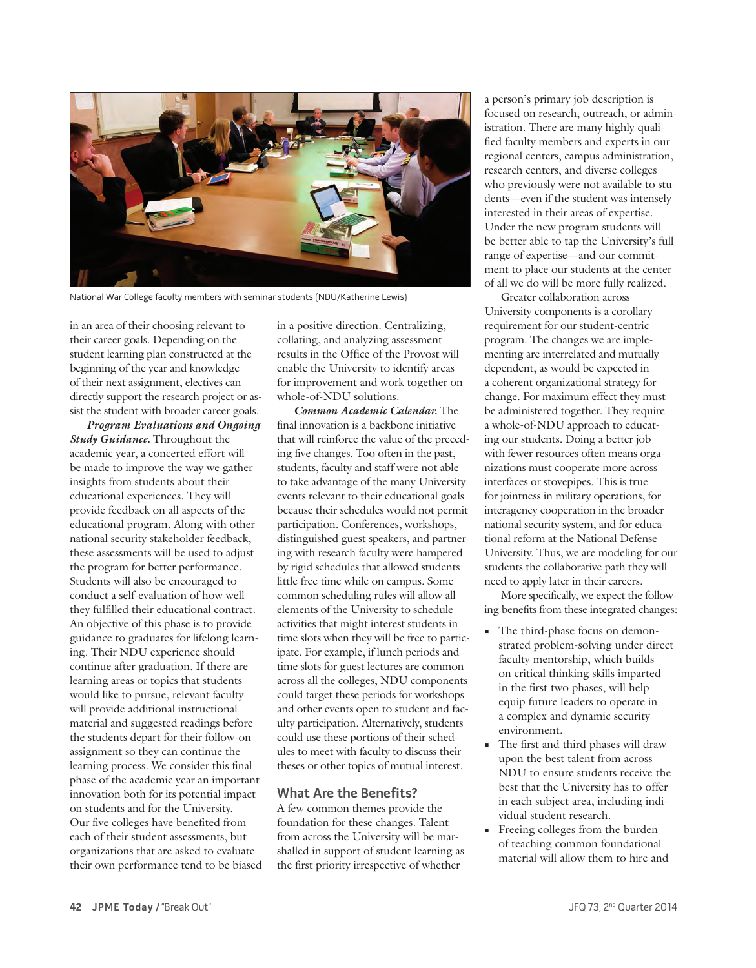

National War College faculty members with seminar students (NDU/Katherine Lewis)

in an area of their choosing relevant to their career goals. Depending on the student learning plan constructed at the beginning of the year and knowledge of their next assignment, electives can directly support the research project or assist the student with broader career goals.

*Program Evaluations and Ongoing Study Guidance.* Throughout the academic year, a concerted effort will be made to improve the way we gather insights from students about their educational experiences. They will provide feedback on all aspects of the educational program. Along with other national security stakeholder feedback, these assessments will be used to adjust the program for better performance. Students will also be encouraged to conduct a self-evaluation of how well they fulfilled their educational contract. An objective of this phase is to provide guidance to graduates for lifelong learning. Their NDU experience should continue after graduation. If there are learning areas or topics that students would like to pursue, relevant faculty will provide additional instructional material and suggested readings before the students depart for their follow-on assignment so they can continue the learning process. We consider this final phase of the academic year an important innovation both for its potential impact on students and for the University. Our five colleges have benefited from each of their student assessments, but organizations that are asked to evaluate their own performance tend to be biased in a positive direction. Centralizing, collating, and analyzing assessment results in the Office of the Provost will enable the University to identify areas for improvement and work together on whole-of-NDU solutions.

*Common Academic Calendar.* The final innovation is a backbone initiative that will reinforce the value of the preceding five changes. Too often in the past, students, faculty and staff were not able to take advantage of the many University events relevant to their educational goals because their schedules would not permit participation. Conferences, workshops, distinguished guest speakers, and partnering with research faculty were hampered by rigid schedules that allowed students little free time while on campus. Some common scheduling rules will allow all elements of the University to schedule activities that might interest students in time slots when they will be free to participate. For example, if lunch periods and time slots for guest lectures are common across all the colleges, NDU components could target these periods for workshops and other events open to student and faculty participation. Alternatively, students could use these portions of their schedules to meet with faculty to discuss their theses or other topics of mutual interest.

#### **What Are the Benefits?**

A few common themes provide the foundation for these changes. Talent from across the University will be marshalled in support of student learning as the first priority irrespective of whether

a person's primary job description is focused on research, outreach, or administration. There are many highly qualified faculty members and experts in our regional centers, campus administration, research centers, and diverse colleges who previously were not available to students—even if the student was intensely interested in their areas of expertise. Under the new program students will be better able to tap the University's full range of expertise—and our commitment to place our students at the center of all we do will be more fully realized.

Greater collaboration across University components is a corollary requirement for our student-centric program. The changes we are implementing are interrelated and mutually dependent, as would be expected in a coherent organizational strategy for change. For maximum effect they must be administered together. They require a whole-of-NDU approach to educating our students. Doing a better job with fewer resources often means organizations must cooperate more across interfaces or stovepipes. This is true for jointness in military operations, for interagency cooperation in the broader national security system, and for educational reform at the National Defense University. Thus, we are modeling for our students the collaborative path they will need to apply later in their careers.

More specifically, we expect the following benefits from these integrated changes:

- **•** The third-phase focus on demonstrated problem-solving under direct faculty mentorship, which builds on critical thinking skills imparted in the first two phases, will help equip future leaders to operate in a complex and dynamic security environment.
- **•** The first and third phases will draw upon the best talent from across NDU to ensure students receive the best that the University has to offer in each subject area, including individual student research.
- Freeing colleges from the burden of teaching common foundational material will allow them to hire and